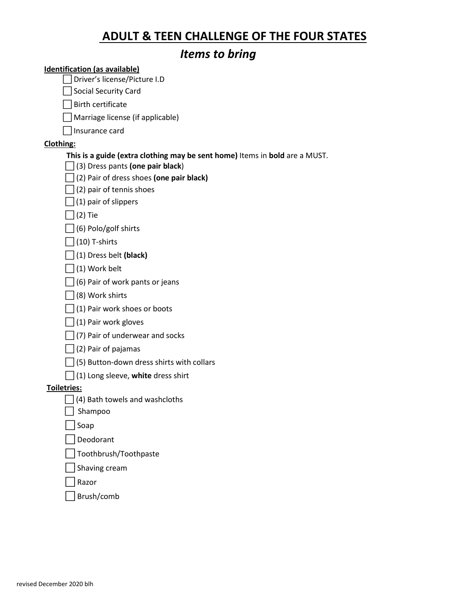# **ADULT & TEEN CHALLENGE OF THE FOUR STATES**

# *Items to bring*

#### **Identification (as available)**

⃞Driver's license/Picture I.D

□Social Security Card

 $\Box$  Birth certificate

 $\Box$  Marriage license (if applicable)

 $\Box$ Insurance card

## **Clothing:**

## **This is a guide (extra clothing may be sent home)** Items in **bold** are a MUST.

⃞ (3) Dress pants **(one pair black**)

⃞(2) Pair of dress shoes **(one pair black)**

 $\Box$ (2) pair of tennis shoes

 $\Box$ (1) pair of slippers

 $\Box$ (2) Tie

 $\Box$ (6) Polo/golf shirts

 $\Box$ (10) T-shirts

⃞(1) Dress belt **(black)** 

 $\Box$ (1) Work belt

 $\Box$  (6) Pair of work pants or jeans

 $\Box$ (8) Work shirts

 $\Box$ (1) Pair work shoes or boots

 $\Box$ (1) Pair work gloves

 $\Box$ (7) Pair of underwear and socks

 $\Box$ (2) Pair of pajamas

 $\Box$ (5) Button-down dress shirts with collars

⃞(1) Long sleeve, **white** dress shirt

**Toiletries:**

 $\Box$  (4) Bath towels and washcloths

 $\Box$  Shampoo

⃞Soap

⃞Deodorant

⃞Toothbrush/Toothpaste

⃞Shaving cream

⃞Razor

⃞Brush/comb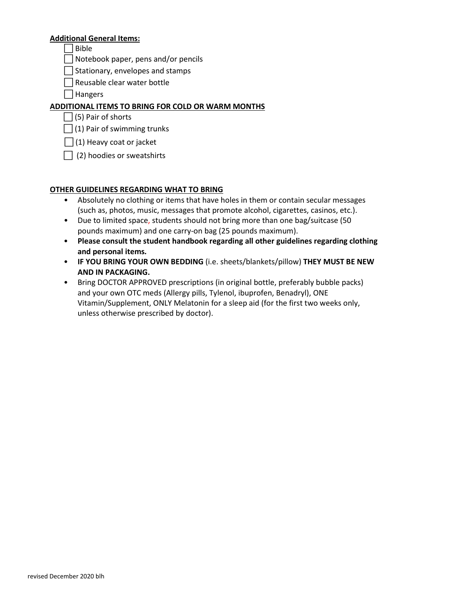#### **Additional General Items:**

 $\Box$ Bible

⃞Notebook paper, pens and/or pencils

 $\Box$ Stationary, envelopes and stamps

 $\Box$  Reusable clear water bottle

□ Hangers

#### **ADDITIONAL ITEMS TO BRING FOR COLD OR WARM MONTHS**

| (5) Pair of shorts

 $\Box$ (1) Pair of swimming trunks

 $\Box$  (1) Heavy coat or jacket

 $\Box$  (2) hoodies or sweatshirts

#### **OTHER GUIDELINES REGARDING WHAT TO BRING**

- Absolutely no clothing or items that have holes in them or contain secular messages (such as, photos, music, messages that promote alcohol, cigarettes, casinos, etc.).
- Due to limited space, students should not bring more than one bag/suitcase (50 pounds maximum) and one carry-on bag (25 pounds maximum).
- **Please consult the student handbook regarding all other guidelines regarding clothing and personal items***.*
- **IF YOU BRING YOUR OWN BEDDING** (i.e. sheets/blankets/pillow) **THEY MUST BE NEW AND IN PACKAGING.**
- Bring DOCTOR APPROVED prescriptions (in original bottle, preferably bubble packs) and your own OTC meds (Allergy pills, Tylenol, ibuprofen, Benadryl), ONE Vitamin/Supplement, ONLY Melatonin for a sleep aid (for the first two weeks only, unless otherwise prescribed by doctor).